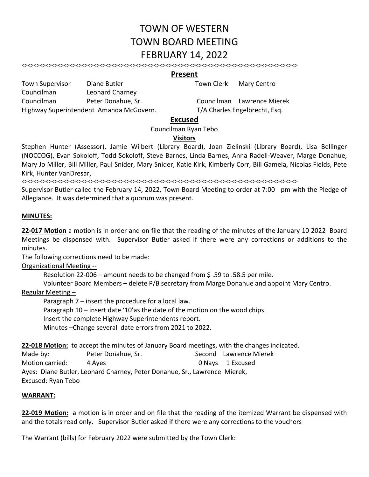# TOWN OF WESTERN TOWN BOARD MEETING FEBRUARY 14, 2022

<><><><><><><><><><><><><><><><><><><><><><><><><><><><><><><><><><><><><><><><><><><><><><>

## **Present**

Town Supervisor Diane Butler Town Clerk Mary Centro

Councilman Peter Donahue, Sr. Councilman Lawrence Mierek Highway Superintendent Amanda McGovern. T/A Charles Engelbrecht, Esq.

### **Excused**

Councilman Ryan Tebo

### **Visitors**

Stephen Hunter (Assessor), Jamie Wilbert (Library Board), Joan Zielinski (Library Board), Lisa Bellinger (NOCCOG), Evan Sokoloff, Todd Sokoloff, Steve Barnes, Linda Barnes, Anna Radell‐Weaver, Marge Donahue, Mary Jo Miller, Bill Miller, Paul Snider, Mary Snider, Katie Kirk, Kimberly Corr, Bill Gamela, Nicolas Fields, Pete Kirk, Hunter VanDresar,

<><><><><><><><><><><><><><><><><><><><><><><><><><><><><><><><><><><><><><><><><><><><><><>

Supervisor Butler called the February 14, 2022, Town Board Meeting to order at 7:00 pm with the Pledge of Allegiance. It was determined that a quorum was present.

#### **MINUTES:**

**22‐017 Motion** a motion is in order and on file that the reading of the minutes of the January 10 2022 Board Meetings be dispensed with. Supervisor Butler asked if there were any corrections or additions to the minutes.

The following corrections need to be made:

Councilman Leonard Charney

Organizational Meeting ‐‐

Resolution 22-006 – amount needs to be changed from \$.59 to .58.5 per mile.

Volunteer Board Members – delete P/B secretary from Marge Donahue and appoint Mary Centro.

#### Regular Meeting –

Paragraph 7 – insert the procedure for a local law.

Paragraph 10 – insert date '10'as the date of the motion on the wood chips.

Insert the complete Highway Superintendents report.

Minutes –Change several date errors from 2021 to 2022.

**22‐018 Motion:** to accept the minutes of January Board meetings, with the changes indicated.

Made by: The Peter Donahue, Sr. The Second Lawrence Mierek Motion carried: 4 Ayes 0 Nays 1 Excused

Ayes: Diane Butler, Leonard Charney, Peter Donahue, Sr., Lawrence Mierek, Excused: Ryan Tebo

#### **WARRANT:**

**22‐019 Motion:** a motion is in order and on file that the reading of the itemized Warrant be dispensed with and the totals read only. Supervisor Butler asked if there were any corrections to the vouchers

The Warrant (bills) for February 2022 were submitted by the Town Clerk: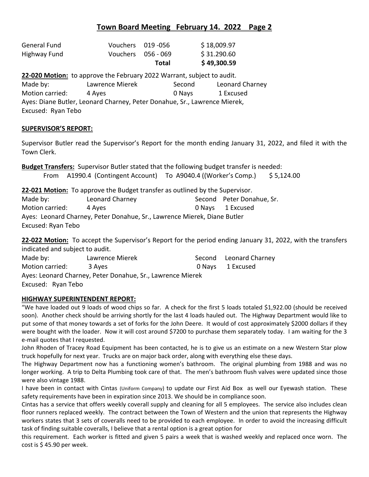# **Town Board Meeting February 14. 2022 Page 2**

| General Fund | Vouchers 019-056 |                    | \$18,009.97 |
|--------------|------------------|--------------------|-------------|
| Highway Fund |                  | Vouchers 056 - 069 | \$31.290.60 |
|              |                  | Total              | \$49,300.59 |
|              |                  |                    |             |

**22‐020 Motion:** to approve the February 2022 Warrant, subject to audit. Made by: The Muslim Lawrence Mierek The Second Theorard Charney Motion carried: 4 Ayes 0 Nays 1 Excused Ayes: Diane Butler, Leonard Charney, Peter Donahue, Sr., Lawrence Mierek, Excused: Ryan Tebo

### **SUPERVISOR'S REPORT:**

Supervisor Butler read the Supervisor's Report for the month ending January 31, 2022, and filed it with the Town Clerk.

**Budget Transfers:** Supervisor Butler stated that the following budget transfer is needed:

From A1990.4 (Contingent Account) To A9040.4 ((Worker's Comp.) \$ 5,124.00

**22‐021 Motion:** To approve the Budget transfer as outlined by the Supervisor.

| Made by:                                                                 | Leonard Charney |  | Second Peter Donahue, Sr. |  |  |
|--------------------------------------------------------------------------|-----------------|--|---------------------------|--|--|
| Motion carried:                                                          | 4 Aves          |  | 0 Navs 1 Excused          |  |  |
| Ayes: Leonard Charney, Peter Donahue, Sr., Lawrence Mierek, Diane Butler |                 |  |                           |  |  |
| Excused: Ryan Tebo                                                       |                 |  |                           |  |  |

**22‐022 Motion:** To accept the Supervisor's Report for the period ending January 31, 2022, with the transfers indicated and subject to audit.

| Made by:                                                   | Lawrence Mierek |  | Second Leonard Charney |  |
|------------------------------------------------------------|-----------------|--|------------------------|--|
| Motion carried:                                            | 3 Aves          |  | 0 Navs 1 Excused       |  |
| Ayes: Leonard Charney, Peter Donahue, Sr., Lawrence Mierek |                 |  |                        |  |
| Excused: Ryan Tebo                                         |                 |  |                        |  |

### **HIGHWAY SUPERINTENDENT REPORT:**

"We have loaded out 9 loads of wood chips so far. A check for the first 5 loads totaled \$1,922.00 (should be received soon). Another check should be arriving shortly for the last 4 loads hauled out. The Highway Department would like to put some of that money towards a set of forks for the John Deere. It would of cost approximately \$2000 dollars if they were bought with the loader. Now it will cost around \$7200 to purchase them separately today. I am waiting for the 3 e‐mail quotes that I requested.

John Rhoden of Tracey Road Equipment has been contacted, he is to give us an estimate on a new Western Star plow truck hopefully for next year. Trucks are on major back order, along with everything else these days.

The Highway Department now has a functioning women's bathroom. The original plumbing from 1988 and was no longer working. A trip to Delta Plumbing took care of that. The men's bathroom flush valves were updated since those were also vintage 1988.

I have been in contact with Cintas (Uniform Company) to update our First Aid Box as well our Eyewash station. These safety requirements have been in expiration since 2013. We should be in compliance soon.

Cintas has a service that offers weekly coverall supply and cleaning for all 5 employees. The service also includes clean floor runners replaced weekly. The contract between the Town of Western and the union that represents the Highway workers states that 3 sets of coveralls need to be provided to each employee. In order to avoid the increasing difficult task of finding suitable coveralls, I believe that a rental option is a great option for

this requirement. Each worker is fitted and given 5 pairs a week that is washed weekly and replaced once worn. The cost is  $$45.90$  per week.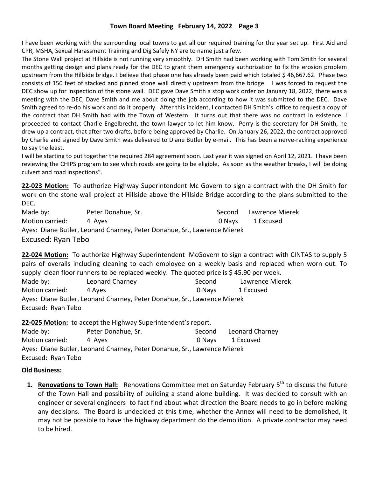## **Town Board Meeting February 14, 2022 Page 3**

I have been working with the surrounding local towns to get all our required training for the year set up. First Aid and CPR, MSHA, Sexual Harassment Training and Dig Safely NY are to name just a few.

The Stone Wall project at Hillside is not running very smoothly. DH Smith had been working with Tom Smith for several months getting design and plans ready for the DEC to grant them emergency authorization to fix the erosion problem upstream from the Hillside bridge. I believe that phase one has already been paid which totaled \$ 46,667.62. Phase two consists of 150 feet of stacked and pinned stone wall directly upstream from the bridge. I was forced to request the DEC show up for inspection of the stone wall. DEC gave Dave Smith a stop work order on January 18, 2022, there was a meeting with the DEC, Dave Smith and me about doing the job according to how it was submitted to the DEC. Dave Smith agreed to re-do his work and do it properly. After this incident, I contacted DH Smith's office to request a copy of the contract that DH Smith had with the Town of Western. It turns out that there was no contract in existence. I proceeded to contact Charlie Engelbrecht, the town lawyer to let him know. Perry is the secretary for DH Smith, he drew up a contract, that after two drafts, before being approved by Charlie. On January 26, 2022, the contract approved by Charlie and signed by Dave Smith was delivered to Diane Butler by e-mail. This has been a nerve-racking experience to say the least.

I will be starting to put together the required 284 agreement soon. Last year it was signed on April 12, 2021. I have been reviewing the CHIPS program to see which roads are going to be eligible, As soon as the weather breaks, I will be doing culvert and road inspections".

**22‐023 Motion:** To authorize Highway Superintendent Mc Govern to sign a contract with the DH Smith for work on the stone wall project at Hillside above the Hillside Bridge according to the plans submitted to the DEC.

Made by: The Peter Donahue, Sr. The Second Lawrence Mierek Motion carried:  $\begin{array}{ccc} 4 & \text{Ayes} & \text{Ayes} & \text{Ayes} & \text{Ayes} & \text{Ayes} & \text{Ayes} & \text{Ayes} & \text{Ayes} & \text{Ayes} & \text{Ayes} & \text{Ayes} & \text{Ayes} & \text{Ayes} & \text{Ayes} & \text{Ayes} & \text{Ayes} & \text{Ayes} & \text{Ayes} & \text{Ayes} & \text{Ayes} & \text{Ayes} & \text{Ayes} & \text{Ayes} & \text{Ayes} & \text{$ Ayes: Diane Butler, Leonard Charney, Peter Donahue, Sr., Lawrence Mierek Excused: Ryan Tebo

**22‐024 Motion:** To authorize Highway Superintendent McGovern to sign a contract with CINTAS to supply 5 pairs of overalls including cleaning to each employee on a weekly basis and replaced when worn out. To supply clean floor runners to be replaced weekly. The quoted price is \$45.90 per week.

| Made by:                                                                 | Leonard Charney | Second | Lawrence Mierek |  |
|--------------------------------------------------------------------------|-----------------|--------|-----------------|--|
| Motion carried:                                                          | 4 Aves          | 0 Navs | 1 Excused       |  |
| Ayes: Diane Butler, Leonard Charney, Peter Donahue, Sr., Lawrence Mierek |                 |        |                 |  |
| Excused: Ryan Tebo                                                       |                 |        |                 |  |

**22‐025 Motion:** to accept the Highway Superintendent's report.

| Made by:                                                                 | Peter Donahue, Sr. | Second | Leonard Charney |  |  |
|--------------------------------------------------------------------------|--------------------|--------|-----------------|--|--|
| Motion carried:                                                          | 4 Aves             | 0 Navs | 1 Excused       |  |  |
| Ayes: Diane Butler, Leonard Charney, Peter Donahue, Sr., Lawrence Mierek |                    |        |                 |  |  |
| Excused: Ryan Tebo                                                       |                    |        |                 |  |  |

## **Old Business:**

**1. Renovations to Town Hall:** Renovations Committee met on Saturday February 5<sup>th</sup> to discuss the future of the Town Hall and possibility of building a stand alone building. It was decided to consult with an engineer or several engineers to fact find about what direction the Board needs to go in before making any decisions. The Board is undecided at this time, whether the Annex will need to be demolished, it may not be possible to have the highway department do the demolition. A private contractor may need to be hired.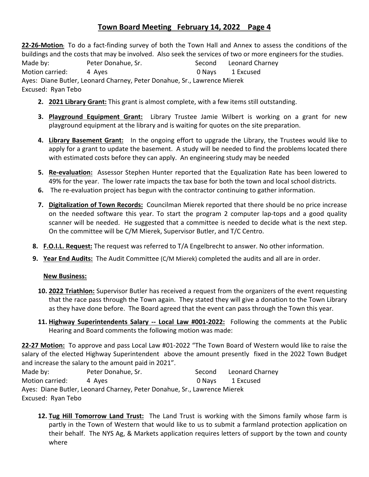# **Town Board Meeting February 14, 2022 Page 4**

**22‐26‐Motion:** To do a fact‐finding survey of both the Town Hall and Annex to assess the conditions of the buildings and the costs that may be involved. Also seek the services of two or more engineers for the studies.

Made by: The Peter Donahue, Sr. The Second Eleonard Charney Motion carried:  $\begin{array}{ccc} 4 & \text{Ayes} & 4 & \text{Ayes} \end{array}$ Ayes: Diane Butler, Leonard Charney, Peter Donahue, Sr., Lawrence Mierek Excused: Ryan Tebo

- **2. 2021 Library Grant:** This grant is almost complete, with a few items still outstanding.
- **3. Playground Equipment Grant:** Library Trustee Jamie Wilbert is working on a grant for new playground equipment at the library and is waiting for quotes on the site preparation.
- **4. Library Basement Grant:** In the ongoing effort to upgrade the Library, the Trustees would like to apply for a grant to update the basement. A study will be needed to find the problems located there with estimated costs before they can apply. An engineering study may be needed
- **5. Re‐evaluation:** Assessor Stephen Hunter reported that the Equalization Rate has been lowered to 49% for the year. The lower rate impacts the tax base for both the town and local school districts.
- **6.** The re-evaluation project has begun with the contractor continuing to gather information.
- **7. Digitalization of Town Records:** Councilman Mierek reported that there should be no price increase on the needed software this year. To start the program 2 computer lap‐tops and a good quality scanner will be needed. He suggested that a committee is needed to decide what is the next step. On the committee will be C/M Mierek, Supervisor Butler, and T/C Centro.
- **8. F.O.I.L. Request:** The request was referred to T/A Engelbrecht to answer. No other information.
- **9. Year End Audits:** The Audit Committee (C/M Mierek) completed the audits and all are in order.

### **New Business:**

- **10. 2022 Triathlon:** Supervisor Butler has received a request from the organizers of the event requesting that the race pass through the Town again. They stated they will give a donation to the Town Library as they have done before. The Board agreed that the event can pass through the Town this year.
- **11. Highway Superintendents Salary ‐‐ Local Law #001‐2022:** Following the comments at the Public Hearing and Board comments the following motion was made:

**22‐27 Motion:** To approve and pass Local Law #01‐2022 "The Town Board of Western would like to raise the salary of the elected Highway Superintendent above the amount presently fixed in the 2022 Town Budget and increase the salary to the amount paid in 2021".

| Made by:                                                                 | Peter Donahue, Sr. | Second | Leonard Charney |  |
|--------------------------------------------------------------------------|--------------------|--------|-----------------|--|
| Motion carried:                                                          | 4 Aves             | 0 Navs | 1 Excused       |  |
| Ayes: Diane Butler, Leonard Charney, Peter Donahue, Sr., Lawrence Mierek |                    |        |                 |  |
| Excused: Ryan Tebo                                                       |                    |        |                 |  |

**12. Tug Hill Tomorrow Land Trust:** The Land Trust is working with the Simons family whose farm is partly in the Town of Western that would like to us to submit a farmland protection application on their behalf. The NYS Ag, & Markets application requires letters of support by the town and county where